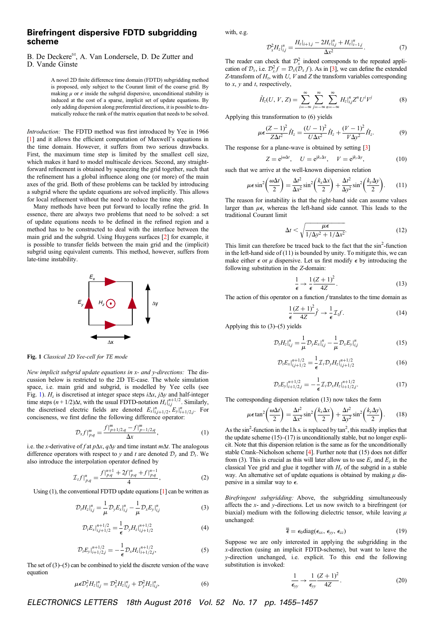## Birefringent dispersive FDTD subgridding scheme

## B. De Deckere<sup>⊠</sup>, A. Van Londersele, D. De Zutter and

D. Vande Ginste

A novel 2D finite difference time domain (FDTD) subgridding method is proposed, only subject to the Courant limit of the coarse grid. By making  $\mu$  or  $\varepsilon$  inside the subgrid dispersive, unconditional stability is induced at the cost of a sparse, implicit set of update equations. By only adding dispersion along preferential directions, it is possible to dramatically reduce the rank of the matrix equation that needs to be solved.

Introduction: The FDTD method was first introduced by Yee in 1966 [[1\]](#page-1-0) and it allows the efficient computation of Maxwell's equations in the time domain. However, it suffers from two serious drawbacks. First, the maximum time step is limited by the smallest cell size, which makes it hard to model multiscale devices. Second, any straightforward refinement is obtained by squeezing the grid together, such that the refinement has a global influence along one (or more) of the main axes of the grid. Both of these problems can be tackled by introducing a subgrid where the update equations are solved implicitly. This allows for local refinement without the need to reduce the time step.

Many methods have been put forward to locally refine the grid. In essence, there are always two problems that need to be solved: a set of update equations needs to be defined in the refined region and a method has to be constructed to deal with the interface between the main grid and the subgrid. Using Huygens surfaces [\[2](#page-1-0)] for example, it is possible to transfer fields between the main grid and the (implicit) subgrid using equivalent currents. This method, however, suffers from late-time instability.



Fig. 1 Classical 2D Yee-cell for TE mode

New implicit subgrid update equations in x- and y-directions: The discussion below is restricted to the 2D TE-case. The whole simulation space, i.e. main grid and subgrid, is modelled by Yee cells (see Fig. 1).  $H_z$  is discretised at integer space steps  $i\Delta x$ ,  $j\Delta y$  and half-integer time steps  $(n + 1/2)\Delta t$ , with the usual FDTD-notation  $H_z\vert_{i,j}^{n+1/2}$ . Similarly,<br>the discretised electric fields are denoted  $E_x\vert_{i,j+1/2}^{n}$ ,  $E_y\vert_{i+1/2,j}^{n}$ . For conciseness, we first define the following difference operator:

$$
\mathcal{D}_x f|_{p,q}^m = \frac{f|_{p+1/2,q}^m - f|_{p-1/2,q}^m}{\Delta x},\tag{1}
$$

i.e. the x-derivative of f at  $p\Delta x$ ,  $q\Delta y$  and time instant  $m\Delta t$ . The analogous difference operators with respect to y and t are denoted  $\mathcal{D}_y$  and  $\mathcal{D}_t$ . We also introduce the interpolation operator defined by

$$
\mathcal{I}_{t}f|_{p,q}^{n} = \frac{f|_{p,q}^{n+1} + 2f|_{p,q}^{n} + f|_{p,q}^{n-1}}{4},
$$
\n(2)

Using  $(1)$ , the conventional FDTD update equations  $[1]$  $[1]$  can be written as

$$
\mathcal{D}_{t}H_{z}|_{ij}^{n} = \frac{1}{\mu} \mathcal{D}_{y}E_{x}|_{ij}^{n} - \frac{1}{\mu} \mathcal{D}_{x}E_{y}|_{ij}^{n}
$$
 (3)

$$
\mathcal{D}_{t}E_{x}|_{i,j+1/2}^{n+1/2} = \frac{1}{\epsilon} \mathcal{D}_{y}H_{z}|_{i,j+1/2}^{n+1/2}
$$
 (4)

$$
\mathcal{D}_t E_y|_{i+1/2,j}^{n+1/2} = -\frac{1}{\epsilon} \mathcal{D}_x H_z|_{i+1/2,j}^{n+1/2},\tag{5}
$$

The set of  $(3)$ – $(5)$  can be combined to yield the discrete version of the wave equation

$$
\mu \epsilon \mathcal{D}_t^2 H_z|_{ij}^n = \mathcal{D}_x^2 H_z|_{ij}^n + \mathcal{D}_y^2 H_z|_{ij}^n, \tag{6}
$$

with, e.g.

$$
\mathcal{D}_x^2 H_z \big|_{i,j}^n = \frac{H_z|_{i+1,j} - 2H_z|_{i,j}^n + H_z|_{i-1,j}^n}{\Delta x^2}.
$$
 (7)

The reader can check that  $\mathcal{D}_x^2$  indeed corresponds to the repeated application of  $\mathcal{D}_x$ , i.e.  $\mathcal{D}_x^2 f = \mathcal{D}_x(\mathcal{D}_x f)$ . As in [\[3](#page-1-0)], we can define the extended Z-transform of  $H_z$ , with U, V and Z the transform variables corresponding to  $x$ ,  $y$  and  $t$ , respectively,

$$
\hat{H}_z(U, V, Z) = \sum_{i=-\infty}^{\infty} \sum_{j=-\infty}^{\infty} \sum_{m=-\infty}^{\infty} H_z \big|_{i,j}^n Z^n U^i V^j \tag{8}
$$

Applying this transformation to (6) yields

$$
\mu \epsilon \frac{(Z-1)^2}{Z\Delta t^2} \hat{H}_z = \frac{(U-1)^2}{U\Delta x^2} \hat{H}_z + \frac{(V-1)^2}{V\Delta y^2} \hat{H}_z.
$$
 (9)

The response for a plane-wave is obtained by setting [\[3](#page-1-0)]

$$
Z = e^{j\omega \Delta t}, \quad U = e^{jk_x \Delta x}, \quad V = e^{jk_y \Delta y}, \tag{10}
$$

such that we arrive at the well-known dispersion relation

$$
\mu \epsilon \sin^2 \left( \frac{\omega \Delta t}{2} \right) = \frac{\Delta t^2}{\Delta x^2} \sin^2 \left( \frac{k_x \Delta x}{2} \right) + \frac{\Delta t^2}{\Delta y^2} \sin^2 \left( \frac{k_y \Delta y}{2} \right). \tag{11}
$$

The reason for instability is that the right-hand side can assume values larger than  $\mu\epsilon$ , whereas the left-hand side cannot. This leads to the traditional Courant limit

$$
\Delta t < \sqrt{\frac{\mu \epsilon}{1/\Delta y^2 + 1/\Delta x^2}}.\tag{12}
$$

This limit can therefore be traced back to the fact that the  $sin<sup>2</sup>$ -function in the left-hand side of  $(11)$  is bounded by unity. To mitigate this, we can make either  $\epsilon$  or  $\mu$  dispersive. Let us first modify  $\epsilon$  by introducing the following substitution in the Z-domain:

$$
\frac{1}{\epsilon} \to \frac{1}{\epsilon} \frac{(Z+1)^2}{4Z}.
$$
 (13)

The action of this operator on a function  $f$  translates to the time domain as

$$
\frac{1}{\epsilon} \frac{(Z+1)^2}{4Z} \hat{f} \to \frac{1}{\epsilon} \mathcal{I}_t f. \tag{14}
$$

Applying this to (3)–(5) yields

$$
\mathcal{D}_t H_z|_{i,j}^n = \frac{1}{\mu} \mathcal{D}_y E_x|_{i,j}^n - \frac{1}{\mu} \mathcal{D}_x E_y|_{i,j}^n \tag{15}
$$

$$
\mathcal{D}_t E_x \big|_{i,j+1/2}^{n+1/2} = \frac{1}{\epsilon} \mathcal{I}_t \mathcal{D}_y H_z \big|_{i,j+1/2}^{n+1/2} \tag{16}
$$

$$
\mathcal{D}_{t}E_{y}|_{i+1/2,j}^{n+1/2}=-\frac{1}{\epsilon}\mathcal{I}_{t}\mathcal{D}_{x}H_{z}|_{i+1/2,j}^{n+1/2}.
$$
 (17)

The corresponding dispersion relation (13) now takes the form

$$
\mu \epsilon \tan^2 \left( \frac{\omega \Delta t}{2} \right) = \frac{\Delta t^2}{\Delta x^2} \sin^2 \left( \frac{k_x \Delta x}{2} \right) + \frac{\Delta t^2}{\Delta y^2} \sin^2 \left( \frac{k_y \Delta y}{2} \right). \tag{18}
$$

As the  $\sin^2$ -function in the l.h.s. is replaced by  $\tan^2$ , this readily implies that the update scheme (15)–(17) is unconditionally stable, but no longer explicit. Note that this dispersion relation is the same as for the unconditionally stable Crank–Nicholson scheme [\[4](#page-1-0)]. Further note that (15) does not differ from (3). This is crucial as this will later allow us to use  $E_x$  and  $E_y$  in the classical Yee grid and glue it together with  $H<sub>z</sub>$  of the subgrid in a stable way. An alternative set of update equations is obtained by making  $\mu$  dispersive in a similar way to  $\epsilon$ .

Birefringent subgridding: Above, the subgridding simultaneously affects the x- and y-directions. Let us now switch to a birefringent (or biaxial) medium with the following dielectric tensor, while leaving  $\mu$ unchanged:

$$
\overline{\overline{\epsilon}} = \epsilon_0 \text{diag}(\epsilon_{xx}, \epsilon_{yy}, \epsilon_{zz}) \tag{19}
$$

Suppose we are only interested in applying the subgridding in the x-direction (using an implicit FDTD-scheme), but want to leave the y-direction unchanged, i.e. explicit. To this end the following substitution is invoked:

$$
\frac{1}{\epsilon_{yy}} \to \frac{1}{\epsilon_{yy}} \frac{(Z+1)^2}{4Z}.
$$
 (20)

ELECTRONICS LETTERS 18th August 2016 Vol. 52 No. 17 pp. 1455–1457